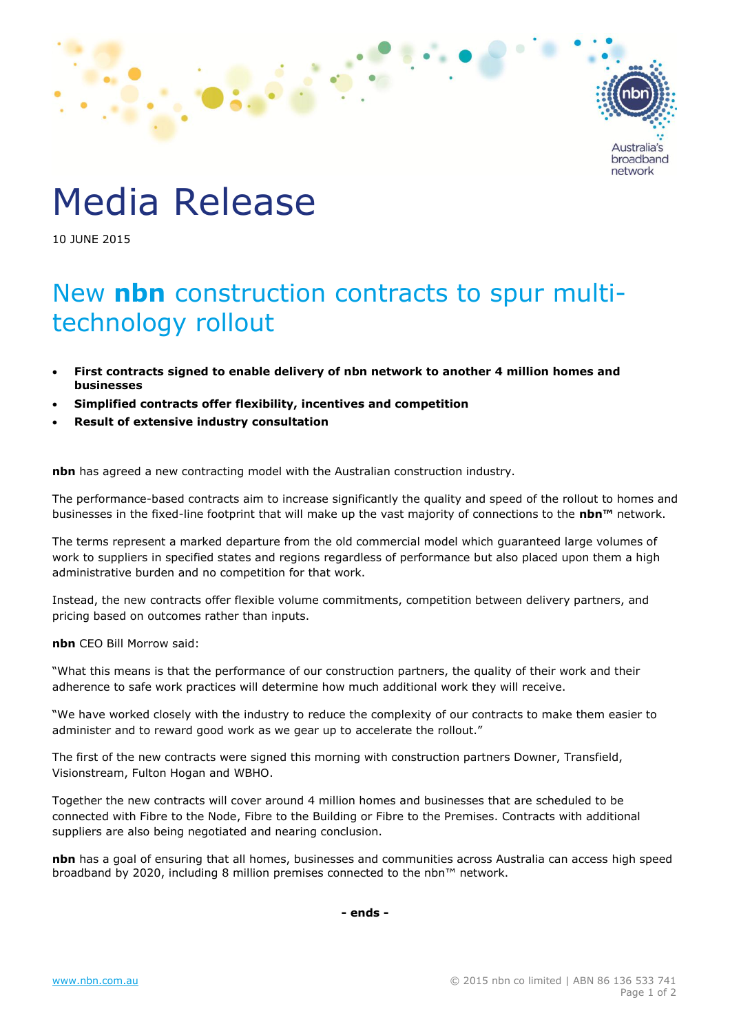

## Media Release

10 JUNE 2015

## New **nbn** construction contracts to spur multitechnology rollout

- **First contracts signed to enable delivery of nbn network to another 4 million homes and businesses**
- **Simplified contracts offer flexibility, incentives and competition**
- **Result of extensive industry consultation**

**nbn** has agreed a new contracting model with the Australian construction industry.

The performance-based contracts aim to increase significantly the quality and speed of the rollout to homes and businesses in the fixed-line footprint that will make up the vast majority of connections to the **nbn™** network.

The terms represent a marked departure from the old commercial model which guaranteed large volumes of work to suppliers in specified states and regions regardless of performance but also placed upon them a high administrative burden and no competition for that work.

Instead, the new contracts offer flexible volume commitments, competition between delivery partners, and pricing based on outcomes rather than inputs.

**nbn** CEO Bill Morrow said:

"What this means is that the performance of our construction partners, the quality of their work and their adherence to safe work practices will determine how much additional work they will receive.

"We have worked closely with the industry to reduce the complexity of our contracts to make them easier to administer and to reward good work as we gear up to accelerate the rollout."

The first of the new contracts were signed this morning with construction partners Downer, Transfield, Visionstream, Fulton Hogan and WBHO.

Together the new contracts will cover around 4 million homes and businesses that are scheduled to be connected with Fibre to the Node, Fibre to the Building or Fibre to the Premises. Contracts with additional suppliers are also being negotiated and nearing conclusion.

**nbn** has a goal of ensuring that all homes, businesses and communities across Australia can access high speed broadband by 2020, including 8 million premises connected to the nbn™ network.

**- ends -**